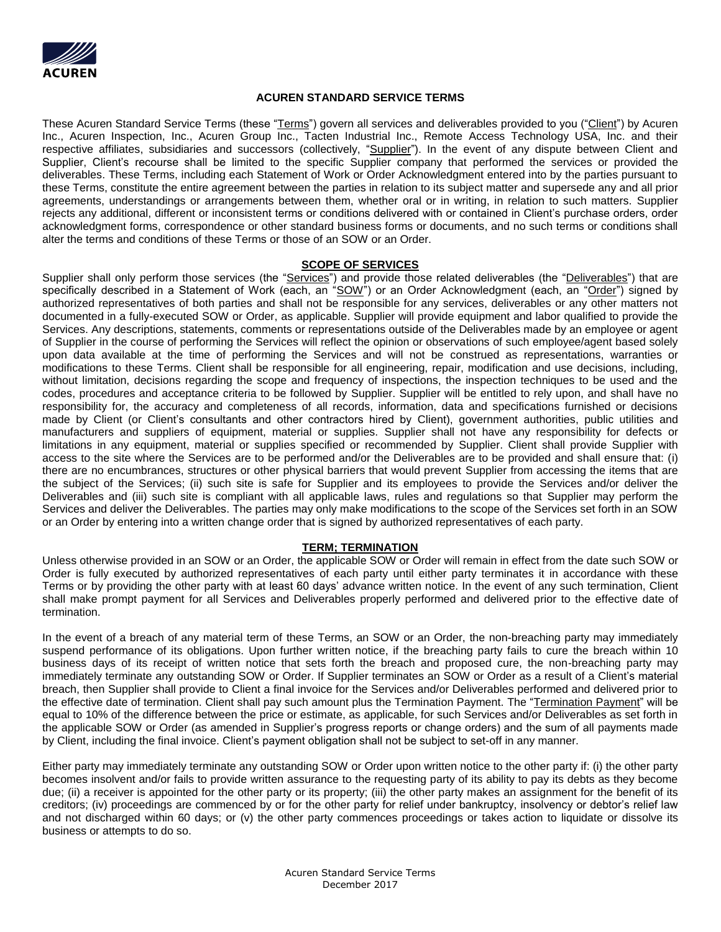

## **ACUREN STANDARD SERVICE TERMS**

These Acuren Standard Service Terms (these "Terms") govern all services and deliverables provided to you ("Client") by Acuren Inc., Acuren Inspection, Inc., Acuren Group Inc., Tacten Industrial Inc., Remote Access Technology USA, Inc. and their respective affiliates, subsidiaries and successors (collectively, "Supplier"). In the event of any dispute between Client and Supplier, Client's recourse shall be limited to the specific Supplier company that performed the services or provided the deliverables. These Terms, including each Statement of Work or Order Acknowledgment entered into by the parties pursuant to these Terms, constitute the entire agreement between the parties in relation to its subject matter and supersede any and all prior agreements, understandings or arrangements between them, whether oral or in writing, in relation to such matters. Supplier rejects any additional, different or inconsistent terms or conditions delivered with or contained in Client's purchase orders, order acknowledgment forms, correspondence or other standard business forms or documents, and no such terms or conditions shall alter the terms and conditions of these Terms or those of an SOW or an Order.

### **SCOPE OF SERVICES**

Supplier shall only perform those services (the "Services") and provide those related deliverables (the "Deliverables") that are specifically described in a Statement of Work (each, an "SOW") or an Order Acknowledgment (each, an "Order") signed by authorized representatives of both parties and shall not be responsible for any services, deliverables or any other matters not documented in a fully-executed SOW or Order, as applicable. Supplier will provide equipment and labor qualified to provide the Services. Any descriptions, statements, comments or representations outside of the Deliverables made by an employee or agent of Supplier in the course of performing the Services will reflect the opinion or observations of such employee/agent based solely upon data available at the time of performing the Services and will not be construed as representations, warranties or modifications to these Terms. Client shall be responsible for all engineering, repair, modification and use decisions, including, without limitation, decisions regarding the scope and frequency of inspections, the inspection techniques to be used and the codes, procedures and acceptance criteria to be followed by Supplier. Supplier will be entitled to rely upon, and shall have no responsibility for, the accuracy and completeness of all records, information, data and specifications furnished or decisions made by Client (or Client's consultants and other contractors hired by Client), government authorities, public utilities and manufacturers and suppliers of equipment, material or supplies. Supplier shall not have any responsibility for defects or limitations in any equipment, material or supplies specified or recommended by Supplier. Client shall provide Supplier with access to the site where the Services are to be performed and/or the Deliverables are to be provided and shall ensure that: (i) there are no encumbrances, structures or other physical barriers that would prevent Supplier from accessing the items that are the subject of the Services; (ii) such site is safe for Supplier and its employees to provide the Services and/or deliver the Deliverables and (iii) such site is compliant with all applicable laws, rules and regulations so that Supplier may perform the Services and deliver the Deliverables. The parties may only make modifications to the scope of the Services set forth in an SOW or an Order by entering into a written change order that is signed by authorized representatives of each party.

### **TERM; TERMINATION**

Unless otherwise provided in an SOW or an Order, the applicable SOW or Order will remain in effect from the date such SOW or Order is fully executed by authorized representatives of each party until either party terminates it in accordance with these Terms or by providing the other party with at least 60 days' advance written notice. In the event of any such termination, Client shall make prompt payment for all Services and Deliverables properly performed and delivered prior to the effective date of termination.

In the event of a breach of any material term of these Terms, an SOW or an Order, the non-breaching party may immediately suspend performance of its obligations. Upon further written notice, if the breaching party fails to cure the breach within 10 business days of its receipt of written notice that sets forth the breach and proposed cure, the non-breaching party may immediately terminate any outstanding SOW or Order. If Supplier terminates an SOW or Order as a result of a Client's material breach, then Supplier shall provide to Client a final invoice for the Services and/or Deliverables performed and delivered prior to the effective date of termination. Client shall pay such amount plus the Termination Payment. The "Termination Payment" will be equal to 10% of the difference between the price or estimate, as applicable, for such Services and/or Deliverables as set forth in the applicable SOW or Order (as amended in Supplier's progress reports or change orders) and the sum of all payments made by Client, including the final invoice. Client's payment obligation shall not be subject to set-off in any manner.

Either party may immediately terminate any outstanding SOW or Order upon written notice to the other party if: (i) the other party becomes insolvent and/or fails to provide written assurance to the requesting party of its ability to pay its debts as they become due; (ii) a receiver is appointed for the other party or its property; (iii) the other party makes an assignment for the benefit of its creditors; (iv) proceedings are commenced by or for the other party for relief under bankruptcy, insolvency or debtor's relief law and not discharged within 60 days; or (v) the other party commences proceedings or takes action to liquidate or dissolve its business or attempts to do so.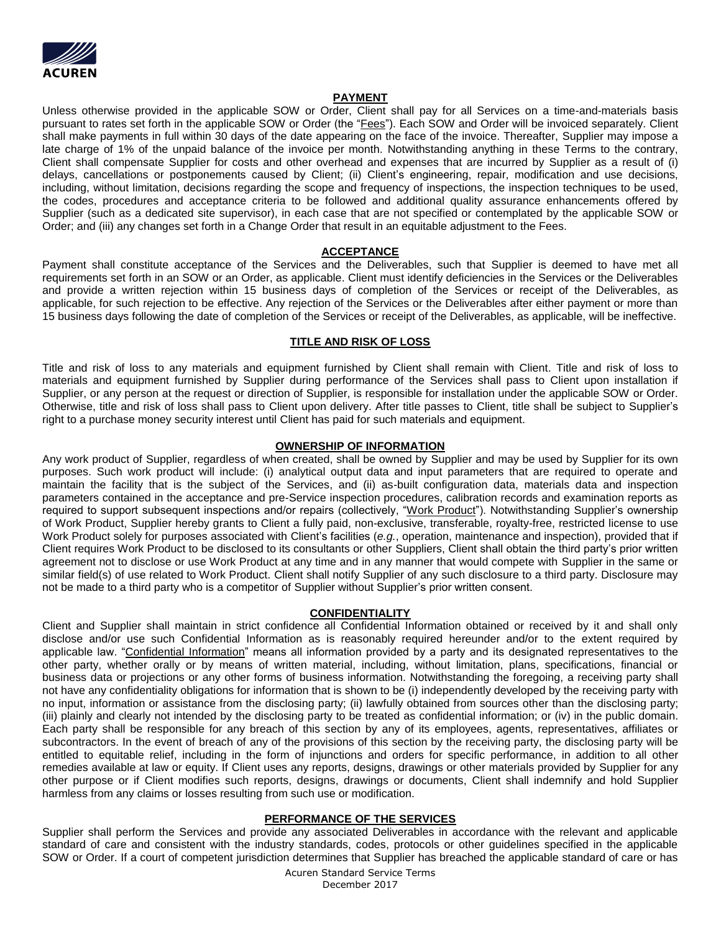

## **PAYMENT**

Unless otherwise provided in the applicable SOW or Order, Client shall pay for all Services on a time-and-materials basis pursuant to rates set forth in the applicable SOW or Order (the "Fees"). Each SOW and Order will be invoiced separately. Client shall make payments in full within 30 days of the date appearing on the face of the invoice. Thereafter, Supplier may impose a late charge of 1% of the unpaid balance of the invoice per month. Notwithstanding anything in these Terms to the contrary, Client shall compensate Supplier for costs and other overhead and expenses that are incurred by Supplier as a result of (i) delays, cancellations or postponements caused by Client; (ii) Client's engineering, repair, modification and use decisions, including, without limitation, decisions regarding the scope and frequency of inspections, the inspection techniques to be used, the codes, procedures and acceptance criteria to be followed and additional quality assurance enhancements offered by Supplier (such as a dedicated site supervisor), in each case that are not specified or contemplated by the applicable SOW or Order; and (iii) any changes set forth in a Change Order that result in an equitable adjustment to the Fees.

### **ACCEPTANCE**

Payment shall constitute acceptance of the Services and the Deliverables, such that Supplier is deemed to have met all requirements set forth in an SOW or an Order, as applicable. Client must identify deficiencies in the Services or the Deliverables and provide a written rejection within 15 business days of completion of the Services or receipt of the Deliverables, as applicable, for such rejection to be effective. Any rejection of the Services or the Deliverables after either payment or more than 15 business days following the date of completion of the Services or receipt of the Deliverables, as applicable, will be ineffective.

### **TITLE AND RISK OF LOSS**

Title and risk of loss to any materials and equipment furnished by Client shall remain with Client. Title and risk of loss to materials and equipment furnished by Supplier during performance of the Services shall pass to Client upon installation if Supplier, or any person at the request or direction of Supplier, is responsible for installation under the applicable SOW or Order. Otherwise, title and risk of loss shall pass to Client upon delivery. After title passes to Client, title shall be subject to Supplier's right to a purchase money security interest until Client has paid for such materials and equipment.

## **OWNERSHIP OF INFORMATION**

Any work product of Supplier, regardless of when created, shall be owned by Supplier and may be used by Supplier for its own purposes. Such work product will include: (i) analytical output data and input parameters that are required to operate and maintain the facility that is the subject of the Services, and (ii) as-built configuration data, materials data and inspection parameters contained in the acceptance and pre-Service inspection procedures, calibration records and examination reports as required to support subsequent inspections and/or repairs (collectively, "Work Product"). Notwithstanding Supplier's ownership of Work Product, Supplier hereby grants to Client a fully paid, non-exclusive, transferable, royalty-free, restricted license to use Work Product solely for purposes associated with Client's facilities (*e.g.*, operation, maintenance and inspection), provided that if Client requires Work Product to be disclosed to its consultants or other Suppliers, Client shall obtain the third party's prior written agreement not to disclose or use Work Product at any time and in any manner that would compete with Supplier in the same or similar field(s) of use related to Work Product. Client shall notify Supplier of any such disclosure to a third party. Disclosure may not be made to a third party who is a competitor of Supplier without Supplier's prior written consent.

### **CONFIDENTIALITY**

Client and Supplier shall maintain in strict confidence all Confidential Information obtained or received by it and shall only disclose and/or use such Confidential Information as is reasonably required hereunder and/or to the extent required by applicable law. "Confidential Information" means all information provided by a party and its designated representatives to the other party, whether orally or by means of written material, including, without limitation, plans, specifications, financial or business data or projections or any other forms of business information. Notwithstanding the foregoing, a receiving party shall not have any confidentiality obligations for information that is shown to be (i) independently developed by the receiving party with no input, information or assistance from the disclosing party; (ii) lawfully obtained from sources other than the disclosing party; (iii) plainly and clearly not intended by the disclosing party to be treated as confidential information; or (iv) in the public domain. Each party shall be responsible for any breach of this section by any of its employees, agents, representatives, affiliates or subcontractors. In the event of breach of any of the provisions of this section by the receiving party, the disclosing party will be entitled to equitable relief, including in the form of injunctions and orders for specific performance, in addition to all other remedies available at law or equity. If Client uses any reports, designs, drawings or other materials provided by Supplier for any other purpose or if Client modifies such reports, designs, drawings or documents, Client shall indemnify and hold Supplier harmless from any claims or losses resulting from such use or modification.

# **PERFORMANCE OF THE SERVICES**

Supplier shall perform the Services and provide any associated Deliverables in accordance with the relevant and applicable standard of care and consistent with the industry standards, codes, protocols or other guidelines specified in the applicable SOW or Order. If a court of competent jurisdiction determines that Supplier has breached the applicable standard of care or has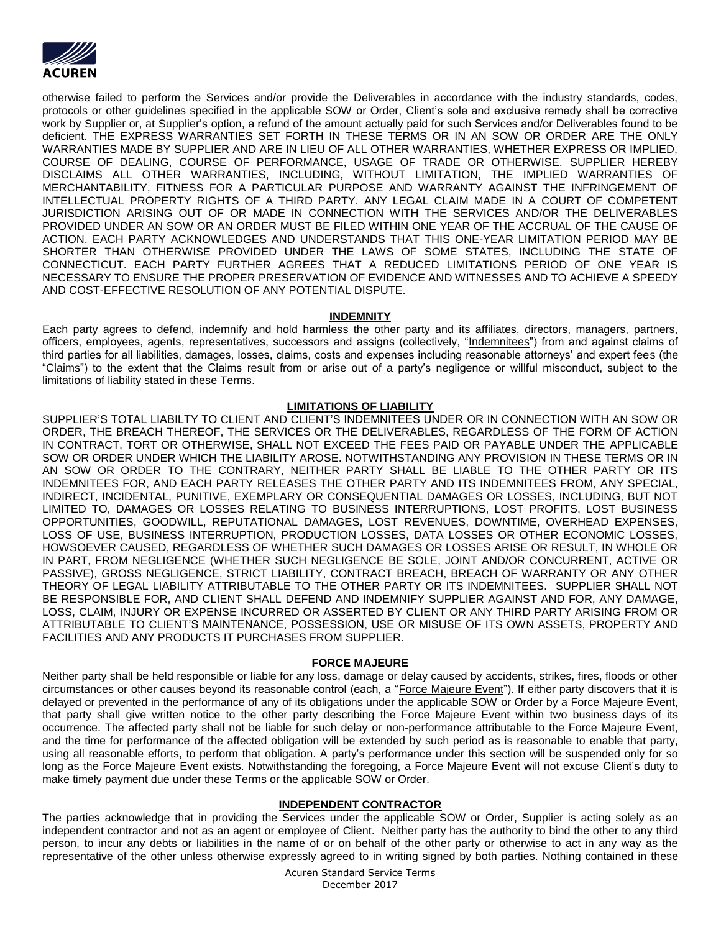

otherwise failed to perform the Services and/or provide the Deliverables in accordance with the industry standards, codes, protocols or other guidelines specified in the applicable SOW or Order, Client's sole and exclusive remedy shall be corrective work by Supplier or, at Supplier's option, a refund of the amount actually paid for such Services and/or Deliverables found to be deficient. THE EXPRESS WARRANTIES SET FORTH IN THESE TERMS OR IN AN SOW OR ORDER ARE THE ONLY WARRANTIES MADE BY SUPPLIER AND ARE IN LIEU OF ALL OTHER WARRANTIES, WHETHER EXPRESS OR IMPLIED, COURSE OF DEALING, COURSE OF PERFORMANCE, USAGE OF TRADE OR OTHERWISE. SUPPLIER HEREBY DISCLAIMS ALL OTHER WARRANTIES, INCLUDING, WITHOUT LIMITATION, THE IMPLIED WARRANTIES OF MERCHANTABILITY, FITNESS FOR A PARTICULAR PURPOSE AND WARRANTY AGAINST THE INFRINGEMENT OF INTELLECTUAL PROPERTY RIGHTS OF A THIRD PARTY. ANY LEGAL CLAIM MADE IN A COURT OF COMPETENT JURISDICTION ARISING OUT OF OR MADE IN CONNECTION WITH THE SERVICES AND/OR THE DELIVERABLES PROVIDED UNDER AN SOW OR AN ORDER MUST BE FILED WITHIN ONE YEAR OF THE ACCRUAL OF THE CAUSE OF ACTION. EACH PARTY ACKNOWLEDGES AND UNDERSTANDS THAT THIS ONE-YEAR LIMITATION PERIOD MAY BE SHORTER THAN OTHERWISE PROVIDED UNDER THE LAWS OF SOME STATES, INCLUDING THE STATE OF CONNECTICUT. EACH PARTY FURTHER AGREES THAT A REDUCED LIMITATIONS PERIOD OF ONE YEAR IS NECESSARY TO ENSURE THE PROPER PRESERVATION OF EVIDENCE AND WITNESSES AND TO ACHIEVE A SPEEDY AND COST-EFFECTIVE RESOLUTION OF ANY POTENTIAL DISPUTE.

## **INDEMNITY**

Each party agrees to defend, indemnify and hold harmless the other party and its affiliates, directors, managers, partners, officers, employees, agents, representatives, successors and assigns (collectively, "Indemnitees") from and against claims of third parties for all liabilities, damages, losses, claims, costs and expenses including reasonable attorneys' and expert fees (the "Claims") to the extent that the Claims result from or arise out of a party's negligence or willful misconduct, subject to the limitations of liability stated in these Terms.

## **LIMITATIONS OF LIABILITY**

SUPPLIER'S TOTAL LIABILTY TO CLIENT AND CLIENT'S INDEMNITEES UNDER OR IN CONNECTION WITH AN SOW OR ORDER, THE BREACH THEREOF, THE SERVICES OR THE DELIVERABLES, REGARDLESS OF THE FORM OF ACTION IN CONTRACT, TORT OR OTHERWISE, SHALL NOT EXCEED THE FEES PAID OR PAYABLE UNDER THE APPLICABLE SOW OR ORDER UNDER WHICH THE LIABILITY AROSE. NOTWITHSTANDING ANY PROVISION IN THESE TERMS OR IN AN SOW OR ORDER TO THE CONTRARY, NEITHER PARTY SHALL BE LIABLE TO THE OTHER PARTY OR ITS INDEMNITEES FOR, AND EACH PARTY RELEASES THE OTHER PARTY AND ITS INDEMNITEES FROM, ANY SPECIAL, INDIRECT, INCIDENTAL, PUNITIVE, EXEMPLARY OR CONSEQUENTIAL DAMAGES OR LOSSES, INCLUDING, BUT NOT LIMITED TO, DAMAGES OR LOSSES RELATING TO BUSINESS INTERRUPTIONS, LOST PROFITS, LOST BUSINESS OPPORTUNITIES, GOODWILL, REPUTATIONAL DAMAGES, LOST REVENUES, DOWNTIME, OVERHEAD EXPENSES, LOSS OF USE, BUSINESS INTERRUPTION, PRODUCTION LOSSES, DATA LOSSES OR OTHER ECONOMIC LOSSES, HOWSOEVER CAUSED, REGARDLESS OF WHETHER SUCH DAMAGES OR LOSSES ARISE OR RESULT, IN WHOLE OR IN PART, FROM NEGLIGENCE (WHETHER SUCH NEGLIGENCE BE SOLE, JOINT AND/OR CONCURRENT, ACTIVE OR PASSIVE), GROSS NEGLIGENCE, STRICT LIABILITY, CONTRACT BREACH, BREACH OF WARRANTY OR ANY OTHER THEORY OF LEGAL LIABILITY ATTRIBUTABLE TO THE OTHER PARTY OR ITS INDEMNITEES. SUPPLIER SHALL NOT BE RESPONSIBLE FOR, AND CLIENT SHALL DEFEND AND INDEMNIFY SUPPLIER AGAINST AND FOR, ANY DAMAGE, LOSS, CLAIM, INJURY OR EXPENSE INCURRED OR ASSERTED BY CLIENT OR ANY THIRD PARTY ARISING FROM OR ATTRIBUTABLE TO CLIENT'S MAINTENANCE, POSSESSION, USE OR MISUSE OF ITS OWN ASSETS, PROPERTY AND FACILITIES AND ANY PRODUCTS IT PURCHASES FROM SUPPLIER.

# **FORCE MAJEURE**

Neither party shall be held responsible or liable for any loss, damage or delay caused by accidents, strikes, fires, floods or other circumstances or other causes beyond its reasonable control (each, a "Force Majeure Event"). If either party discovers that it is delayed or prevented in the performance of any of its obligations under the applicable SOW or Order by a Force Majeure Event, that party shall give written notice to the other party describing the Force Majeure Event within two business days of its occurrence. The affected party shall not be liable for such delay or non-performance attributable to the Force Majeure Event, and the time for performance of the affected obligation will be extended by such period as is reasonable to enable that party, using all reasonable efforts, to perform that obligation. A party's performance under this section will be suspended only for so long as the Force Majeure Event exists. Notwithstanding the foregoing, a Force Majeure Event will not excuse Client's duty to make timely payment due under these Terms or the applicable SOW or Order.

### **INDEPENDENT CONTRACTOR**

The parties acknowledge that in providing the Services under the applicable SOW or Order, Supplier is acting solely as an independent contractor and not as an agent or employee of Client. Neither party has the authority to bind the other to any third person, to incur any debts or liabilities in the name of or on behalf of the other party or otherwise to act in any way as the representative of the other unless otherwise expressly agreed to in writing signed by both parties. Nothing contained in these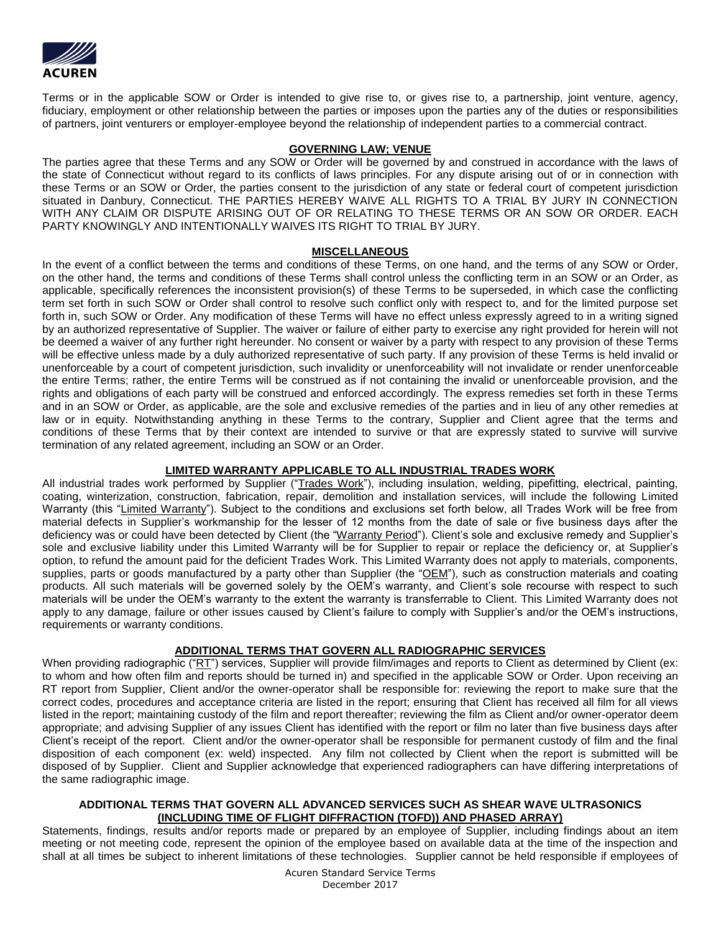

Terms or in the applicable SOW or Order is intended to give rise to, or gives rise to, a partnership, joint venture, agency, fiduciary, employment or other relationship between the parties or imposes upon the parties any of the duties or responsibilities of partners, joint venturers or employer-employee beyond the relationship of independent parties to a commercial contract.

# **GOVERNING LAW; VENUE**

The parties agree that these Terms and any SOW or Order will be governed by and construed in accordance with the laws of the state of Connecticut without regard to its conflicts of laws principles. For any dispute arising out of or in connection with these Terms or an SOW or Order, the parties consent to the jurisdiction of any state or federal court of competent jurisdiction situated in Danbury, Connecticut. THE PARTIES HEREBY WAIVE ALL RIGHTS TO A TRIAL BY JURY IN CONNECTION WITH ANY CLAIM OR DISPUTE ARISING OUT OF OR RELATING TO THESE TERMS OR AN SOW OR ORDER. EACH PARTY KNOWINGLY AND INTENTIONALLY WAIVES ITS RIGHT TO TRIAL BY JURY.

## **MISCELLANEOUS**

In the event of a conflict between the terms and conditions of these Terms, on one hand, and the terms of any SOW or Order, on the other hand, the terms and conditions of these Terms shall control unless the conflicting term in an SOW or an Order, as applicable, specifically references the inconsistent provision(s) of these Terms to be superseded, in which case the conflicting term set forth in such SOW or Order shall control to resolve such conflict only with respect to, and for the limited purpose set forth in, such SOW or Order. Any modification of these Terms will have no effect unless expressly agreed to in a writing signed by an authorized representative of Supplier. The waiver or failure of either party to exercise any right provided for herein will not be deemed a waiver of any further right hereunder. No consent or waiver by a party with respect to any provision of these Terms will be effective unless made by a duly authorized representative of such party. If any provision of these Terms is held invalid or unenforceable by a court of competent jurisdiction, such invalidity or unenforceability will not invalidate or render unenforceable the entire Terms; rather, the entire Terms will be construed as if not containing the invalid or unenforceable provision, and the rights and obligations of each party will be construed and enforced accordingly. The express remedies set forth in these Terms and in an SOW or Order, as applicable, are the sole and exclusive remedies of the parties and in lieu of any other remedies at law or in equity. Notwithstanding anything in these Terms to the contrary, Supplier and Client agree that the terms and conditions of these Terms that by their context are intended to survive or that are expressly stated to survive will survive termination of any related agreement, including an SOW or an Order.

# **LIMITED WARRANTY APPLICABLE TO ALL INDUSTRIAL TRADES WORK**

All industrial trades work performed by Supplier ("Trades Work"), including insulation, welding, pipefitting, electrical, painting, coating, winterization, construction, fabrication, repair, demolition and installation services, will include the following Limited Warranty (this "Limited Warranty"). Subject to the conditions and exclusions set forth below, all Trades Work will be free from material defects in Supplier's workmanship for the lesser of 12 months from the date of sale or five business days after the deficiency was or could have been detected by Client (the "Warranty Period"). Client's sole and exclusive remedy and Supplier's sole and exclusive liability under this Limited Warranty will be for Supplier to repair or replace the deficiency or, at Supplier's option, to refund the amount paid for the deficient Trades Work. This Limited Warranty does not apply to materials, components, supplies, parts or goods manufactured by a party other than Supplier (the "OEM"), such as construction materials and coating products. All such materials will be governed solely by the OEM's warranty, and Client's sole recourse with respect to such materials will be under the OEM's warranty to the extent the warranty is transferrable to Client. This Limited Warranty does not apply to any damage, failure or other issues caused by Client's failure to comply with Supplier's and/or the OEM's instructions, requirements or warranty conditions.

# **ADDITIONAL TERMS THAT GOVERN ALL RADIOGRAPHIC SERVICES**

When providing radiographic ("RT") services, Supplier will provide film/images and reports to Client as determined by Client (ex: to whom and how often film and reports should be turned in) and specified in the applicable SOW or Order. Upon receiving an RT report from Supplier, Client and/or the owner-operator shall be responsible for: reviewing the report to make sure that the correct codes, procedures and acceptance criteria are listed in the report; ensuring that Client has received all film for all views listed in the report; maintaining custody of the film and report thereafter; reviewing the film as Client and/or owner-operator deem appropriate; and advising Supplier of any issues Client has identified with the report or film no later than five business days after Client's receipt of the report. Client and/or the owner-operator shall be responsible for permanent custody of film and the final disposition of each component (ex: weld) inspected. Any film not collected by Client when the report is submitted will be disposed of by Supplier. Client and Supplier acknowledge that experienced radiographers can have differing interpretations of the same radiographic image.

## **ADDITIONAL TERMS THAT GOVERN ALL ADVANCED SERVICES SUCH AS SHEAR WAVE ULTRASONICS (INCLUDING TIME OF FLIGHT DIFFRACTION (TOFD)) AND PHASED ARRAY)**

Statements, findings, results and/or reports made or prepared by an employee of Supplier, including findings about an item meeting or not meeting code, represent the opinion of the employee based on available data at the time of the inspection and shall at all times be subject to inherent limitations of these technologies. Supplier cannot be held responsible if employees of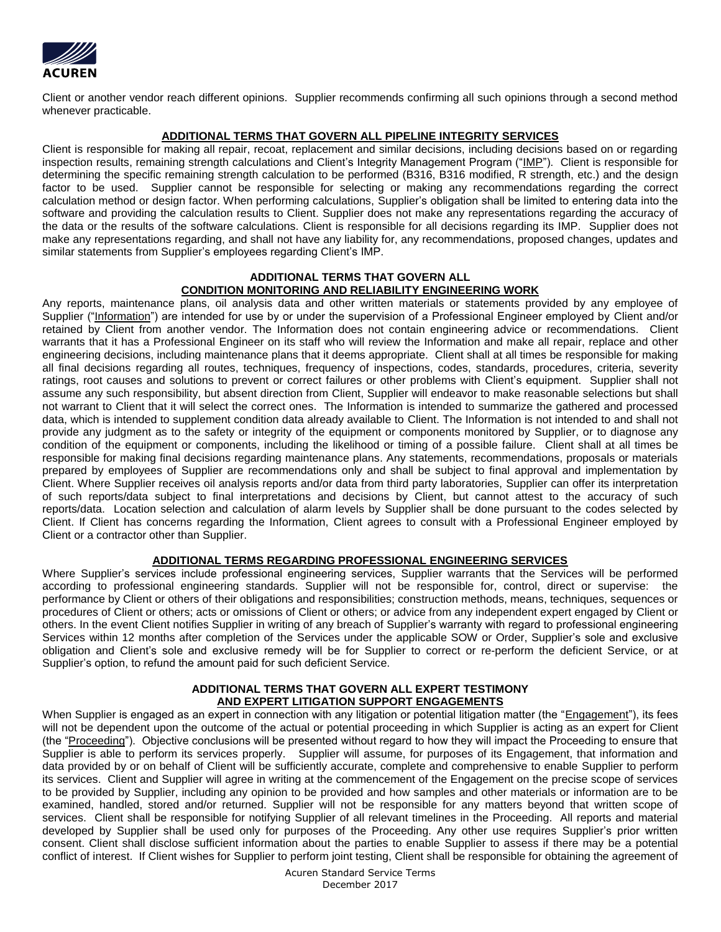

Client or another vendor reach different opinions. Supplier recommends confirming all such opinions through a second method whenever practicable.

# **ADDITIONAL TERMS THAT GOVERN ALL PIPELINE INTEGRITY SERVICES**

Client is responsible for making all repair, recoat, replacement and similar decisions, including decisions based on or regarding inspection results, remaining strength calculations and Client's Integrity Management Program ("IMP"). Client is responsible for determining the specific remaining strength calculation to be performed (B316, B316 modified, R strength, etc.) and the design factor to be used. Supplier cannot be responsible for selecting or making any recommendations regarding the correct calculation method or design factor. When performing calculations, Supplier's obligation shall be limited to entering data into the software and providing the calculation results to Client. Supplier does not make any representations regarding the accuracy of the data or the results of the software calculations. Client is responsible for all decisions regarding its IMP. Supplier does not make any representations regarding, and shall not have any liability for, any recommendations, proposed changes, updates and similar statements from Supplier's employees regarding Client's IMP.

#### **ADDITIONAL TERMS THAT GOVERN ALL CONDITION MONITORING AND RELIABILITY ENGINEERING WORK**

Any reports, maintenance plans, oil analysis data and other written materials or statements provided by any employee of Supplier ("Information") are intended for use by or under the supervision of a Professional Engineer employed by Client and/or retained by Client from another vendor. The Information does not contain engineering advice or recommendations. Client warrants that it has a Professional Engineer on its staff who will review the Information and make all repair, replace and other engineering decisions, including maintenance plans that it deems appropriate. Client shall at all times be responsible for making all final decisions regarding all routes, techniques, frequency of inspections, codes, standards, procedures, criteria, severity ratings, root causes and solutions to prevent or correct failures or other problems with Client's equipment. Supplier shall not assume any such responsibility, but absent direction from Client, Supplier will endeavor to make reasonable selections but shall not warrant to Client that it will select the correct ones. The Information is intended to summarize the gathered and processed data, which is intended to supplement condition data already available to Client. The Information is not intended to and shall not provide any judgment as to the safety or integrity of the equipment or components monitored by Supplier, or to diagnose any condition of the equipment or components, including the likelihood or timing of a possible failure. Client shall at all times be responsible for making final decisions regarding maintenance plans. Any statements, recommendations, proposals or materials prepared by employees of Supplier are recommendations only and shall be subject to final approval and implementation by Client. Where Supplier receives oil analysis reports and/or data from third party laboratories, Supplier can offer its interpretation of such reports/data subject to final interpretations and decisions by Client, but cannot attest to the accuracy of such reports/data. Location selection and calculation of alarm levels by Supplier shall be done pursuant to the codes selected by Client. If Client has concerns regarding the Information, Client agrees to consult with a Professional Engineer employed by Client or a contractor other than Supplier.

# **ADDITIONAL TERMS REGARDING PROFESSIONAL ENGINEERING SERVICES**

Where Supplier's services include professional engineering services, Supplier warrants that the Services will be performed according to professional engineering standards. Supplier will not be responsible for, control, direct or supervise: the performance by Client or others of their obligations and responsibilities; construction methods, means, techniques, sequences or procedures of Client or others; acts or omissions of Client or others; or advice from any independent expert engaged by Client or others. In the event Client notifies Supplier in writing of any breach of Supplier's warranty with regard to professional engineering Services within 12 months after completion of the Services under the applicable SOW or Order, Supplier's sole and exclusive obligation and Client's sole and exclusive remedy will be for Supplier to correct or re-perform the deficient Service, or at Supplier's option, to refund the amount paid for such deficient Service.

# **ADDITIONAL TERMS THAT GOVERN ALL EXPERT TESTIMONY AND EXPERT LITIGATION SUPPORT ENGAGEMENTS**

When Supplier is engaged as an expert in connection with any litigation or potential litigation matter (the "Engagement"), its fees will not be dependent upon the outcome of the actual or potential proceeding in which Supplier is acting as an expert for Client (the "Proceeding"). Objective conclusions will be presented without regard to how they will impact the Proceeding to ensure that Supplier is able to perform its services properly. Supplier will assume, for purposes of its Engagement, that information and data provided by or on behalf of Client will be sufficiently accurate, complete and comprehensive to enable Supplier to perform its services. Client and Supplier will agree in writing at the commencement of the Engagement on the precise scope of services to be provided by Supplier, including any opinion to be provided and how samples and other materials or information are to be examined, handled, stored and/or returned. Supplier will not be responsible for any matters beyond that written scope of services. Client shall be responsible for notifying Supplier of all relevant timelines in the Proceeding. All reports and material developed by Supplier shall be used only for purposes of the Proceeding. Any other use requires Supplier's prior written consent. Client shall disclose sufficient information about the parties to enable Supplier to assess if there may be a potential conflict of interest. If Client wishes for Supplier to perform joint testing, Client shall be responsible for obtaining the agreement of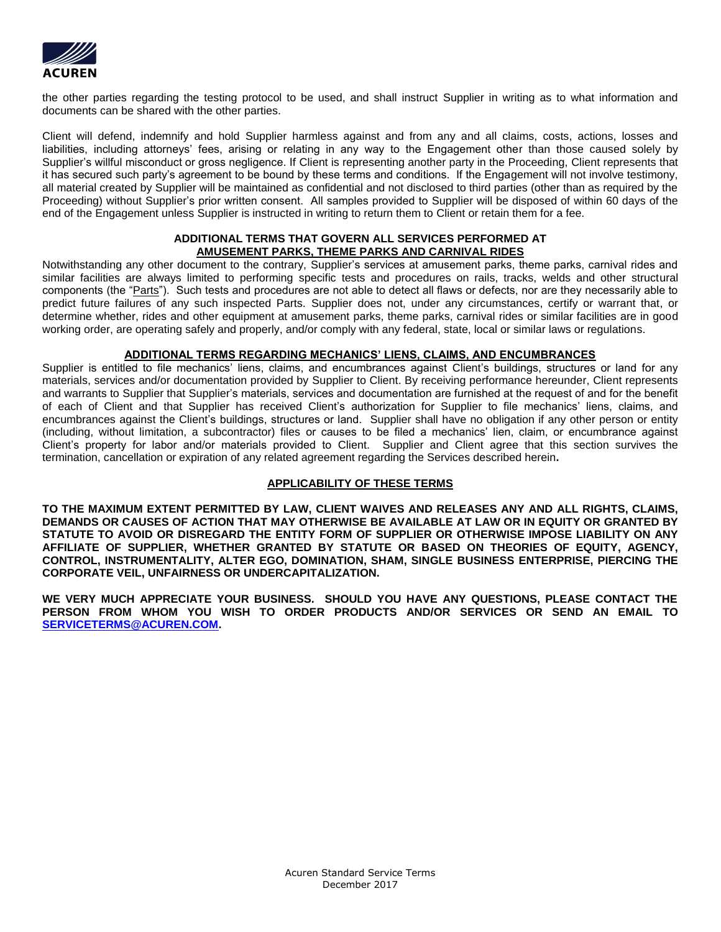

the other parties regarding the testing protocol to be used, and shall instruct Supplier in writing as to what information and documents can be shared with the other parties.

Client will defend, indemnify and hold Supplier harmless against and from any and all claims, costs, actions, losses and liabilities, including attorneys' fees, arising or relating in any way to the Engagement other than those caused solely by Supplier's willful misconduct or gross negligence. If Client is representing another party in the Proceeding, Client represents that it has secured such party's agreement to be bound by these terms and conditions. If the Engagement will not involve testimony, all material created by Supplier will be maintained as confidential and not disclosed to third parties (other than as required by the Proceeding) without Supplier's prior written consent. All samples provided to Supplier will be disposed of within 60 days of the end of the Engagement unless Supplier is instructed in writing to return them to Client or retain them for a fee.

### **ADDITIONAL TERMS THAT GOVERN ALL SERVICES PERFORMED AT AMUSEMENT PARKS, THEME PARKS AND CARNIVAL RIDES**

Notwithstanding any other document to the contrary, Supplier's services at amusement parks, theme parks, carnival rides and similar facilities are always limited to performing specific tests and procedures on rails, tracks, welds and other structural components (the "Parts"). Such tests and procedures are not able to detect all flaws or defects, nor are they necessarily able to predict future failures of any such inspected Parts. Supplier does not, under any circumstances, certify or warrant that, or determine whether, rides and other equipment at amusement parks, theme parks, carnival rides or similar facilities are in good working order, are operating safely and properly, and/or comply with any federal, state, local or similar laws or regulations.

## **ADDITIONAL TERMS REGARDING MECHANICS' LIENS, CLAIMS, AND ENCUMBRANCES**

Supplier is entitled to file mechanics' liens, claims, and encumbrances against Client's buildings, structures or land for any materials, services and/or documentation provided by Supplier to Client. By receiving performance hereunder, Client represents and warrants to Supplier that Supplier's materials, services and documentation are furnished at the request of and for the benefit of each of Client and that Supplier has received Client's authorization for Supplier to file mechanics' liens, claims, and encumbrances against the Client's buildings, structures or land. Supplier shall have no obligation if any other person or entity (including, without limitation, a subcontractor) files or causes to be filed a mechanics' lien, claim, or encumbrance against Client's property for labor and/or materials provided to Client. Supplier and Client agree that this section survives the termination, cancellation or expiration of any related agreement regarding the Services described herein**.**

# **APPLICABILITY OF THESE TERMS**

**TO THE MAXIMUM EXTENT PERMITTED BY LAW, CLIENT WAIVES AND RELEASES ANY AND ALL RIGHTS, CLAIMS, DEMANDS OR CAUSES OF ACTION THAT MAY OTHERWISE BE AVAILABLE AT LAW OR IN EQUITY OR GRANTED BY STATUTE TO AVOID OR DISREGARD THE ENTITY FORM OF SUPPLIER OR OTHERWISE IMPOSE LIABILITY ON ANY AFFILIATE OF SUPPLIER, WHETHER GRANTED BY STATUTE OR BASED ON THEORIES OF EQUITY, AGENCY, CONTROL, INSTRUMENTALITY, ALTER EGO, DOMINATION, SHAM, SINGLE BUSINESS ENTERPRISE, PIERCING THE CORPORATE VEIL, UNFAIRNESS OR UNDERCAPITALIZATION.**

**WE VERY MUCH APPRECIATE YOUR BUSINESS. SHOULD YOU HAVE ANY QUESTIONS, PLEASE CONTACT THE PERSON FROM WHOM YOU WISH TO ORDER PRODUCTS AND/OR SERVICES OR SEND AN EMAIL TO [SERVICETERMS@ACUREN.COM.](mailto:QUESTIONSABOUTSERVICETERMS@ACUREN.COM)**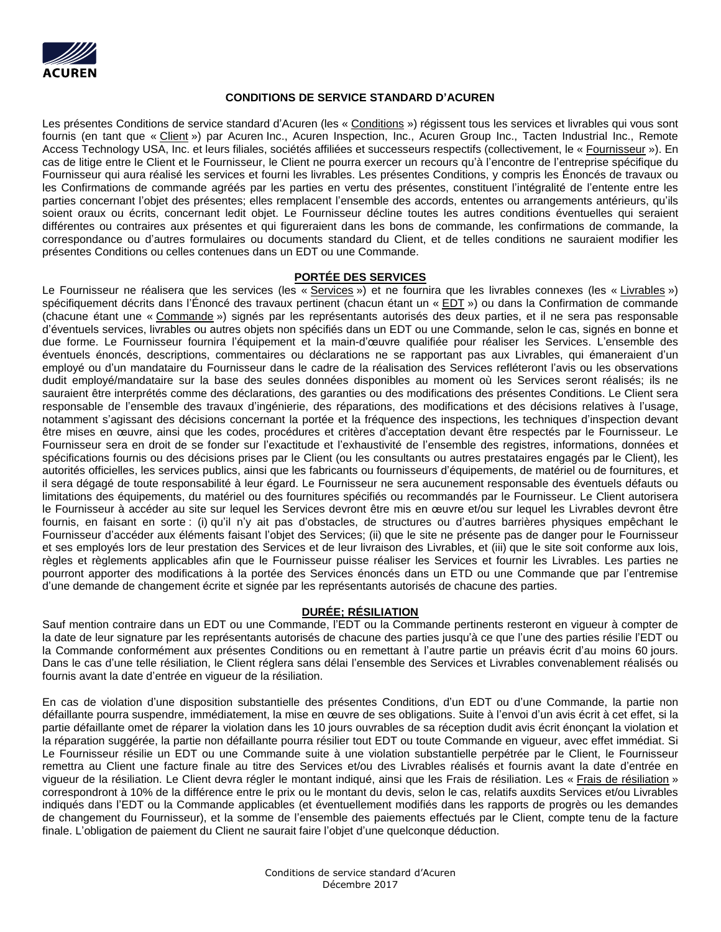

## **CONDITIONS DE SERVICE STANDARD D'ACUREN**

Les présentes Conditions de service standard d'Acuren (les « Conditions ») régissent tous les services et livrables qui vous sont fournis (en tant que « Client ») par Acuren Inc., Acuren Inspection, Inc., Acuren Group Inc., Tacten Industrial Inc., Remote Access Technology USA, Inc. et leurs filiales, sociétés affiliées et successeurs respectifs (collectivement, le « Fournisseur »). En cas de litige entre le Client et le Fournisseur, le Client ne pourra exercer un recours qu'à l'encontre de l'entreprise spécifique du Fournisseur qui aura réalisé les services et fourni les livrables. Les présentes Conditions, y compris les Énoncés de travaux ou les Confirmations de commande agréés par les parties en vertu des présentes, constituent l'intégralité de l'entente entre les parties concernant l'objet des présentes; elles remplacent l'ensemble des accords, ententes ou arrangements antérieurs, qu'ils soient oraux ou écrits, concernant ledit objet. Le Fournisseur décline toutes les autres conditions éventuelles qui seraient différentes ou contraires aux présentes et qui figureraient dans les bons de commande, les confirmations de commande, la correspondance ou d'autres formulaires ou documents standard du Client, et de telles conditions ne sauraient modifier les présentes Conditions ou celles contenues dans un EDT ou une Commande.

### **PORTÉE DES SERVICES**

Le Fournisseur ne réalisera que les services (les « Services ») et ne fournira que les livrables connexes (les « Livrables ») spécifiquement décrits dans l'Énoncé des travaux pertinent (chacun étant un « EDT ») ou dans la Confirmation de commande (chacune étant une « Commande ») signés par les représentants autorisés des deux parties, et il ne sera pas responsable d'éventuels services, livrables ou autres objets non spécifiés dans un EDT ou une Commande, selon le cas, signés en bonne et due forme. Le Fournisseur fournira l'équipement et la main-d'œuvre qualifiée pour réaliser les Services. L'ensemble des éventuels énoncés, descriptions, commentaires ou déclarations ne se rapportant pas aux Livrables, qui émaneraient d'un employé ou d'un mandataire du Fournisseur dans le cadre de la réalisation des Services refléteront l'avis ou les observations dudit employé/mandataire sur la base des seules données disponibles au moment où les Services seront réalisés; ils ne sauraient être interprétés comme des déclarations, des garanties ou des modifications des présentes Conditions. Le Client sera responsable de l'ensemble des travaux d'ingénierie, des réparations, des modifications et des décisions relatives à l'usage, notamment s'agissant des décisions concernant la portée et la fréquence des inspections, les techniques d'inspection devant être mises en œuvre, ainsi que les codes, procédures et critères d'acceptation devant être respectés par le Fournisseur. Le Fournisseur sera en droit de se fonder sur l'exactitude et l'exhaustivité de l'ensemble des registres, informations, données et spécifications fournis ou des décisions prises par le Client (ou les consultants ou autres prestataires engagés par le Client), les autorités officielles, les services publics, ainsi que les fabricants ou fournisseurs d'équipements, de matériel ou de fournitures, et il sera dégagé de toute responsabilité à leur égard. Le Fournisseur ne sera aucunement responsable des éventuels défauts ou limitations des équipements, du matériel ou des fournitures spécifiés ou recommandés par le Fournisseur. Le Client autorisera le Fournisseur à accéder au site sur lequel les Services devront être mis en œuvre et/ou sur lequel les Livrables devront être fournis, en faisant en sorte : (i) qu'il n'y ait pas d'obstacles, de structures ou d'autres barrières physiques empêchant le Fournisseur d'accéder aux éléments faisant l'objet des Services; (ii) que le site ne présente pas de danger pour le Fournisseur et ses employés lors de leur prestation des Services et de leur livraison des Livrables, et (iii) que le site soit conforme aux lois, règles et règlements applicables afin que le Fournisseur puisse réaliser les Services et fournir les Livrables. Les parties ne pourront apporter des modifications à la portée des Services énoncés dans un ETD ou une Commande que par l'entremise d'une demande de changement écrite et signée par les représentants autorisés de chacune des parties.

# **DURÉE; RÉSILIATION**

Sauf mention contraire dans un EDT ou une Commande, l'EDT ou la Commande pertinents resteront en vigueur à compter de la date de leur signature par les représentants autorisés de chacune des parties jusqu'à ce que l'une des parties résilie l'EDT ou la Commande conformément aux présentes Conditions ou en remettant à l'autre partie un préavis écrit d'au moins 60 jours. Dans le cas d'une telle résiliation, le Client réglera sans délai l'ensemble des Services et Livrables convenablement réalisés ou fournis avant la date d'entrée en vigueur de la résiliation.

En cas de violation d'une disposition substantielle des présentes Conditions, d'un EDT ou d'une Commande, la partie non défaillante pourra suspendre, immédiatement, la mise en œuvre de ses obligations. Suite à l'envoi d'un avis écrit à cet effet, si la partie défaillante omet de réparer la violation dans les 10 jours ouvrables de sa réception dudit avis écrit énonçant la violation et la réparation suggérée, la partie non défaillante pourra résilier tout EDT ou toute Commande en vigueur, avec effet immédiat. Si Le Fournisseur résilie un EDT ou une Commande suite à une violation substantielle perpétrée par le Client, le Fournisseur remettra au Client une facture finale au titre des Services et/ou des Livrables réalisés et fournis avant la date d'entrée en vigueur de la résiliation. Le Client devra régler le montant indiqué, ainsi que les Frais de résiliation. Les « Frais de résiliation » correspondront à 10% de la différence entre le prix ou le montant du devis, selon le cas, relatifs auxdits Services et/ou Livrables indiqués dans l'EDT ou la Commande applicables (et éventuellement modifiés dans les rapports de progrès ou les demandes de changement du Fournisseur), et la somme de l'ensemble des paiements effectués par le Client, compte tenu de la facture finale. L'obligation de paiement du Client ne saurait faire l'objet d'une quelconque déduction.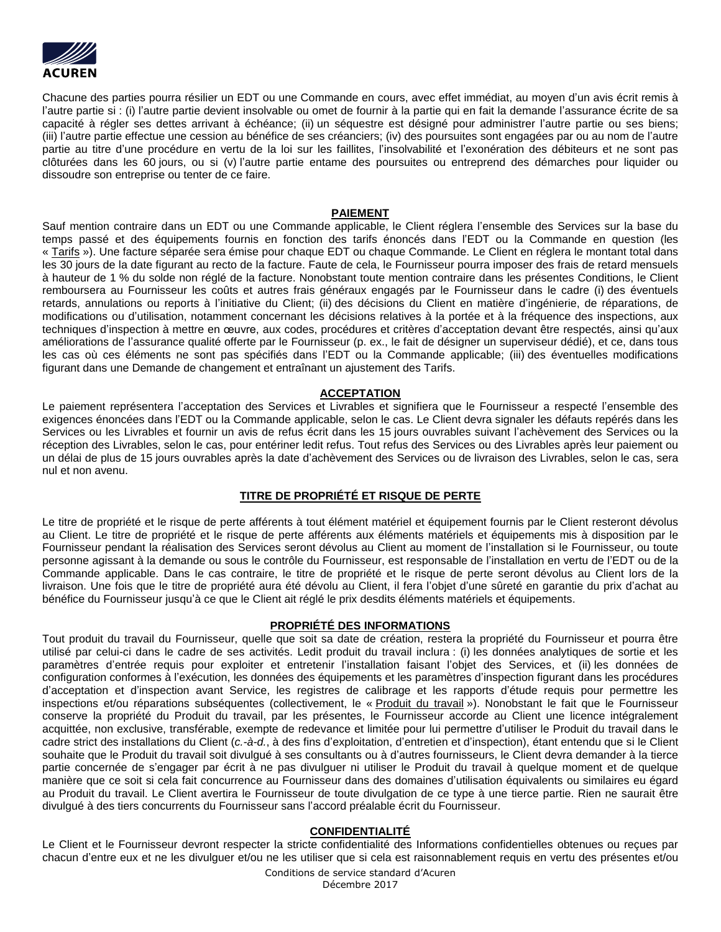

Chacune des parties pourra résilier un EDT ou une Commande en cours, avec effet immédiat, au moyen d'un avis écrit remis à l'autre partie si : (i) l'autre partie devient insolvable ou omet de fournir à la partie qui en fait la demande l'assurance écrite de sa capacité à régler ses dettes arrivant à échéance; (ii) un séquestre est désigné pour administrer l'autre partie ou ses biens; (iii) l'autre partie effectue une cession au bénéfice de ses créanciers; (iv) des poursuites sont engagées par ou au nom de l'autre partie au titre d'une procédure en vertu de la loi sur les faillites, l'insolvabilité et l'exonération des débiteurs et ne sont pas clôturées dans les 60 jours, ou si (v) l'autre partie entame des poursuites ou entreprend des démarches pour liquider ou dissoudre son entreprise ou tenter de ce faire.

### **PAIEMENT**

Sauf mention contraire dans un EDT ou une Commande applicable, le Client réglera l'ensemble des Services sur la base du temps passé et des équipements fournis en fonction des tarifs énoncés dans l'EDT ou la Commande en question (les « Tarifs »). Une facture séparée sera émise pour chaque EDT ou chaque Commande. Le Client en réglera le montant total dans les 30 jours de la date figurant au recto de la facture. Faute de cela, le Fournisseur pourra imposer des frais de retard mensuels à hauteur de 1 % du solde non réglé de la facture. Nonobstant toute mention contraire dans les présentes Conditions, le Client remboursera au Fournisseur les coûts et autres frais généraux engagés par le Fournisseur dans le cadre (i) des éventuels retards, annulations ou reports à l'initiative du Client; (ii) des décisions du Client en matière d'ingénierie, de réparations, de modifications ou d'utilisation, notamment concernant les décisions relatives à la portée et à la fréquence des inspections, aux techniques d'inspection à mettre en œuvre, aux codes, procédures et critères d'acceptation devant être respectés, ainsi qu'aux améliorations de l'assurance qualité offerte par le Fournisseur (p. ex., le fait de désigner un superviseur dédié), et ce, dans tous les cas où ces éléments ne sont pas spécifiés dans l'EDT ou la Commande applicable; (iii) des éventuelles modifications figurant dans une Demande de changement et entraînant un ajustement des Tarifs.

# **ACCEPTATION**

Le paiement représentera l'acceptation des Services et Livrables et signifiera que le Fournisseur a respecté l'ensemble des exigences énoncées dans l'EDT ou la Commande applicable, selon le cas. Le Client devra signaler les défauts repérés dans les Services ou les Livrables et fournir un avis de refus écrit dans les 15 jours ouvrables suivant l'achèvement des Services ou la réception des Livrables, selon le cas, pour entériner ledit refus. Tout refus des Services ou des Livrables après leur paiement ou un délai de plus de 15 jours ouvrables après la date d'achèvement des Services ou de livraison des Livrables, selon le cas, sera nul et non avenu.

# **TITRE DE PROPRIÉTÉ ET RISQUE DE PERTE**

Le titre de propriété et le risque de perte afférents à tout élément matériel et équipement fournis par le Client resteront dévolus au Client. Le titre de propriété et le risque de perte afférents aux éléments matériels et équipements mis à disposition par le Fournisseur pendant la réalisation des Services seront dévolus au Client au moment de l'installation si le Fournisseur, ou toute personne agissant à la demande ou sous le contrôle du Fournisseur, est responsable de l'installation en vertu de l'EDT ou de la Commande applicable. Dans le cas contraire, le titre de propriété et le risque de perte seront dévolus au Client lors de la livraison. Une fois que le titre de propriété aura été dévolu au Client, il fera l'objet d'une sûreté en garantie du prix d'achat au bénéfice du Fournisseur jusqu'à ce que le Client ait réglé le prix desdits éléments matériels et équipements.

### **PROPRIÉTÉ DES INFORMATIONS**

Tout produit du travail du Fournisseur, quelle que soit sa date de création, restera la propriété du Fournisseur et pourra être utilisé par celui-ci dans le cadre de ses activités. Ledit produit du travail inclura : (i) les données analytiques de sortie et les paramètres d'entrée requis pour exploiter et entretenir l'installation faisant l'objet des Services, et (ii) les données de configuration conformes à l'exécution, les données des équipements et les paramètres d'inspection figurant dans les procédures d'acceptation et d'inspection avant Service, les registres de calibrage et les rapports d'étude requis pour permettre les inspections et/ou réparations subséquentes (collectivement, le « Produit du travail »). Nonobstant le fait que le Fournisseur conserve la propriété du Produit du travail, par les présentes, le Fournisseur accorde au Client une licence intégralement acquittée, non exclusive, transférable, exempte de redevance et limitée pour lui permettre d'utiliser le Produit du travail dans le cadre strict des installations du Client (*c.-à-d.*, à des fins d'exploitation, d'entretien et d'inspection), étant entendu que si le Client souhaite que le Produit du travail soit divulgué à ses consultants ou à d'autres fournisseurs, le Client devra demander à la tierce partie concernée de s'engager par écrit à ne pas divulguer ni utiliser le Produit du travail à quelque moment et de quelque manière que ce soit si cela fait concurrence au Fournisseur dans des domaines d'utilisation équivalents ou similaires eu égard au Produit du travail. Le Client avertira le Fournisseur de toute divulgation de ce type à une tierce partie. Rien ne saurait être divulgué à des tiers concurrents du Fournisseur sans l'accord préalable écrit du Fournisseur.

## **CONFIDENTIALITÉ**

Le Client et le Fournisseur devront respecter la stricte confidentialité des Informations confidentielles obtenues ou reçues par chacun d'entre eux et ne les divulguer et/ou ne les utiliser que si cela est raisonnablement requis en vertu des présentes et/ou

> Conditions de service standard d'Acuren Décembre 2017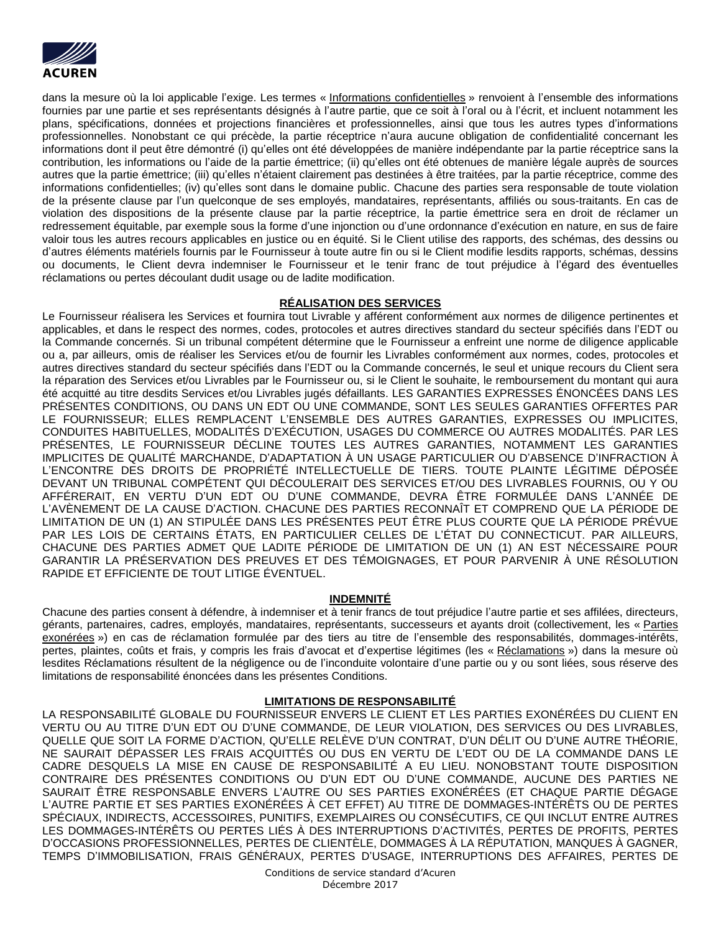

dans la mesure où la loi applicable l'exige. Les termes « Informations confidentielles » renvoient à l'ensemble des informations fournies par une partie et ses représentants désignés à l'autre partie, que ce soit à l'oral ou à l'écrit, et incluent notamment les plans, spécifications, données et projections financières et professionnelles, ainsi que tous les autres types d'informations professionnelles. Nonobstant ce qui précède, la partie réceptrice n'aura aucune obligation de confidentialité concernant les informations dont il peut être démontré (i) qu'elles ont été développées de manière indépendante par la partie réceptrice sans la contribution, les informations ou l'aide de la partie émettrice; (ii) qu'elles ont été obtenues de manière légale auprès de sources autres que la partie émettrice; (iii) qu'elles n'étaient clairement pas destinées à être traitées, par la partie réceptrice, comme des informations confidentielles; (iv) qu'elles sont dans le domaine public. Chacune des parties sera responsable de toute violation de la présente clause par l'un quelconque de ses employés, mandataires, représentants, affiliés ou sous-traitants. En cas de violation des dispositions de la présente clause par la partie réceptrice, la partie émettrice sera en droit de réclamer un redressement équitable, par exemple sous la forme d'une injonction ou d'une ordonnance d'exécution en nature, en sus de faire valoir tous les autres recours applicables en justice ou en équité. Si le Client utilise des rapports, des schémas, des dessins ou d'autres éléments matériels fournis par le Fournisseur à toute autre fin ou si le Client modifie lesdits rapports, schémas, dessins ou documents, le Client devra indemniser le Fournisseur et le tenir franc de tout préjudice à l'égard des éventuelles réclamations ou pertes découlant dudit usage ou de ladite modification.

# **RÉALISATION DES SERVICES**

Le Fournisseur réalisera les Services et fournira tout Livrable y afférent conformément aux normes de diligence pertinentes et applicables, et dans le respect des normes, codes, protocoles et autres directives standard du secteur spécifiés dans l'EDT ou la Commande concernés. Si un tribunal compétent détermine que le Fournisseur a enfreint une norme de diligence applicable ou a, par ailleurs, omis de réaliser les Services et/ou de fournir les Livrables conformément aux normes, codes, protocoles et autres directives standard du secteur spécifiés dans l'EDT ou la Commande concernés, le seul et unique recours du Client sera la réparation des Services et/ou Livrables par le Fournisseur ou, si le Client le souhaite, le remboursement du montant qui aura été acquitté au titre desdits Services et/ou Livrables jugés défaillants. LES GARANTIES EXPRESSES ÉNONCÉES DANS LES PRÉSENTES CONDITIONS, OU DANS UN EDT OU UNE COMMANDE, SONT LES SEULES GARANTIES OFFERTES PAR LE FOURNISSEUR; ELLES REMPLACENT L'ENSEMBLE DES AUTRES GARANTIES, EXPRESSES OU IMPLICITES, CONDUITES HABITUELLES, MODALITÉS D'EXÉCUTION, USAGES DU COMMERCE OU AUTRES MODALITÉS. PAR LES PRÉSENTES, LE FOURNISSEUR DÉCLINE TOUTES LES AUTRES GARANTIES, NOTAMMENT LES GARANTIES IMPLICITES DE QUALITÉ MARCHANDE, D'ADAPTATION À UN USAGE PARTICULIER OU D'ABSENCE D'INFRACTION À L'ENCONTRE DES DROITS DE PROPRIÉTÉ INTELLECTUELLE DE TIERS. TOUTE PLAINTE LÉGITIME DÉPOSÉE DEVANT UN TRIBUNAL COMPÉTENT QUI DÉCOULERAIT DES SERVICES ET/OU DES LIVRABLES FOURNIS, OU Y OU AFFÉRERAIT, EN VERTU D'UN EDT OU D'UNE COMMANDE, DEVRA ÊTRE FORMULÉE DANS L'ANNÉE DE L'AVÈNEMENT DE LA CAUSE D'ACTION. CHACUNE DES PARTIES RECONNAÎT ET COMPREND QUE LA PÉRIODE DE LIMITATION DE UN (1) AN STIPULÉE DANS LES PRÉSENTES PEUT ÊTRE PLUS COURTE QUE LA PÉRIODE PRÉVUE PAR LES LOIS DE CERTAINS ÉTATS, EN PARTICULIER CELLES DE L'ÉTAT DU CONNECTICUT. PAR AILLEURS, CHACUNE DES PARTIES ADMET QUE LADITE PÉRIODE DE LIMITATION DE UN (1) AN EST NÉCESSAIRE POUR GARANTIR LA PRÉSERVATION DES PREUVES ET DES TÉMOIGNAGES, ET POUR PARVENIR À UNE RÉSOLUTION RAPIDE ET EFFICIENTE DE TOUT LITIGE ÉVENTUEL.

# **INDEMNITÉ**

Chacune des parties consent à défendre, à indemniser et à tenir francs de tout préjudice l'autre partie et ses affilées, directeurs, gérants, partenaires, cadres, employés, mandataires, représentants, successeurs et ayants droit (collectivement, les « Parties exonérées ») en cas de réclamation formulée par des tiers au titre de l'ensemble des responsabilités, dommages-intérêts, pertes, plaintes, coûts et frais, y compris les frais d'avocat et d'expertise légitimes (les « Réclamations ») dans la mesure où lesdites Réclamations résultent de la négligence ou de l'inconduite volontaire d'une partie ou y ou sont liées, sous réserve des limitations de responsabilité énoncées dans les présentes Conditions.

# **LIMITATIONS DE RESPONSABILITÉ**

LA RESPONSABILITÉ GLOBALE DU FOURNISSEUR ENVERS LE CLIENT ET LES PARTIES EXONÉRÉES DU CLIENT EN VERTU OU AU TITRE D'UN EDT OU D'UNE COMMANDE, DE LEUR VIOLATION, DES SERVICES OU DES LIVRABLES, QUELLE QUE SOIT LA FORME D'ACTION, QU'ELLE RELÈVE D'UN CONTRAT, D'UN DÉLIT OU D'UNE AUTRE THÉORIE, NE SAURAIT DÉPASSER LES FRAIS ACQUITTÉS OU DUS EN VERTU DE L'EDT OU DE LA COMMANDE DANS LE CADRE DESQUELS LA MISE EN CAUSE DE RESPONSABILITÉ A EU LIEU. NONOBSTANT TOUTE DISPOSITION CONTRAIRE DES PRÉSENTES CONDITIONS OU D'UN EDT OU D'UNE COMMANDE, AUCUNE DES PARTIES NE SAURAIT ÊTRE RESPONSABLE ENVERS L'AUTRE OU SES PARTIES EXONÉRÉES (ET CHAQUE PARTIE DÉGAGE L'AUTRE PARTIE ET SES PARTIES EXONÉRÉES À CET EFFET) AU TITRE DE DOMMAGES-INTÉRÊTS OU DE PERTES SPÉCIAUX, INDIRECTS, ACCESSOIRES, PUNITIFS, EXEMPLAIRES OU CONSÉCUTIFS, CE QUI INCLUT ENTRE AUTRES LES DOMMAGES-INTÉRÊTS OU PERTES LIÉS À DES INTERRUPTIONS D'ACTIVITÉS, PERTES DE PROFITS, PERTES D'OCCASIONS PROFESSIONNELLES, PERTES DE CLIENTÈLE, DOMMAGES À LA RÉPUTATION, MANQUES À GAGNER, TEMPS D'IMMOBILISATION, FRAIS GÉNÉRAUX, PERTES D'USAGE, INTERRUPTIONS DES AFFAIRES, PERTES DE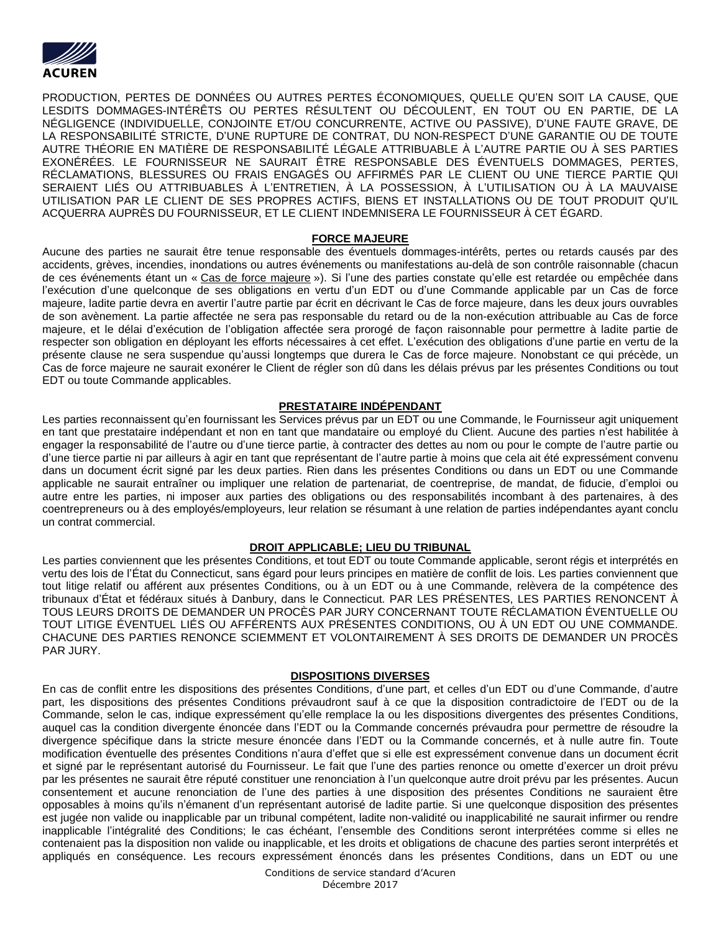

PRODUCTION, PERTES DE DONNÉES OU AUTRES PERTES ÉCONOMIQUES, QUELLE QU'EN SOIT LA CAUSE, QUE LESDITS DOMMAGES-INTÉRÊTS OU PERTES RÉSULTENT OU DÉCOULENT, EN TOUT OU EN PARTIE, DE LA NÉGLIGENCE (INDIVIDUELLE, CONJOINTE ET/OU CONCURRENTE, ACTIVE OU PASSIVE), D'UNE FAUTE GRAVE, DE LA RESPONSABILITÉ STRICTE, D'UNE RUPTURE DE CONTRAT, DU NON-RESPECT D'UNE GARANTIE OU DE TOUTE AUTRE THÉORIE EN MATIÈRE DE RESPONSABILITÉ LÉGALE ATTRIBUABLE À L'AUTRE PARTIE OU À SES PARTIES EXONÉRÉES. LE FOURNISSEUR NE SAURAIT ÊTRE RESPONSABLE DES ÉVENTUELS DOMMAGES, PERTES, RÉCLAMATIONS, BLESSURES OU FRAIS ENGAGÉS OU AFFIRMÉS PAR LE CLIENT OU UNE TIERCE PARTIE QUI SERAIENT LIÉS OU ATTRIBUABLES À L'ENTRETIEN, À LA POSSESSION, À L'UTILISATION OU À LA MAUVAISE UTILISATION PAR LE CLIENT DE SES PROPRES ACTIFS, BIENS ET INSTALLATIONS OU DE TOUT PRODUIT QU'IL ACQUERRA AUPRÈS DU FOURNISSEUR, ET LE CLIENT INDEMNISERA LE FOURNISSEUR À CET ÉGARD.

### **FORCE MAJEURE**

Aucune des parties ne saurait être tenue responsable des éventuels dommages-intérêts, pertes ou retards causés par des accidents, grèves, incendies, inondations ou autres événements ou manifestations au-delà de son contrôle raisonnable (chacun de ces événements étant un « Cas de force majeure »). Si l'une des parties constate qu'elle est retardée ou empêchée dans l'exécution d'une quelconque de ses obligations en vertu d'un EDT ou d'une Commande applicable par un Cas de force majeure, ladite partie devra en avertir l'autre partie par écrit en décrivant le Cas de force majeure, dans les deux jours ouvrables de son avènement. La partie affectée ne sera pas responsable du retard ou de la non-exécution attribuable au Cas de force majeure, et le délai d'exécution de l'obligation affectée sera prorogé de façon raisonnable pour permettre à ladite partie de respecter son obligation en déployant les efforts nécessaires à cet effet. L'exécution des obligations d'une partie en vertu de la présente clause ne sera suspendue qu'aussi longtemps que durera le Cas de force majeure. Nonobstant ce qui précède, un Cas de force majeure ne saurait exonérer le Client de régler son dû dans les délais prévus par les présentes Conditions ou tout EDT ou toute Commande applicables.

### **PRESTATAIRE INDÉPENDANT**

Les parties reconnaissent qu'en fournissant les Services prévus par un EDT ou une Commande, le Fournisseur agit uniquement en tant que prestataire indépendant et non en tant que mandataire ou employé du Client. Aucune des parties n'est habilitée à engager la responsabilité de l'autre ou d'une tierce partie, à contracter des dettes au nom ou pour le compte de l'autre partie ou d'une tierce partie ni par ailleurs à agir en tant que représentant de l'autre partie à moins que cela ait été expressément convenu dans un document écrit signé par les deux parties. Rien dans les présentes Conditions ou dans un EDT ou une Commande applicable ne saurait entraîner ou impliquer une relation de partenariat, de coentreprise, de mandat, de fiducie, d'emploi ou autre entre les parties, ni imposer aux parties des obligations ou des responsabilités incombant à des partenaires, à des coentrepreneurs ou à des employés/employeurs, leur relation se résumant à une relation de parties indépendantes ayant conclu un contrat commercial.

# **DROIT APPLICABLE; LIEU DU TRIBUNAL**

Les parties conviennent que les présentes Conditions, et tout EDT ou toute Commande applicable, seront régis et interprétés en vertu des lois de l'État du Connecticut, sans égard pour leurs principes en matière de conflit de lois. Les parties conviennent que tout litige relatif ou afférent aux présentes Conditions, ou à un EDT ou à une Commande, relèvera de la compétence des tribunaux d'État et fédéraux situés à Danbury, dans le Connecticut. PAR LES PRÉSENTES, LES PARTIES RENONCENT À TOUS LEURS DROITS DE DEMANDER UN PROCÈS PAR JURY CONCERNANT TOUTE RÉCLAMATION ÉVENTUELLE OU TOUT LITIGE ÉVENTUEL LIÉS OU AFFÉRENTS AUX PRÉSENTES CONDITIONS, OU À UN EDT OU UNE COMMANDE. CHACUNE DES PARTIES RENONCE SCIEMMENT ET VOLONTAIREMENT À SES DROITS DE DEMANDER UN PROCÈS PAR JURY.

# **DISPOSITIONS DIVERSES**

En cas de conflit entre les dispositions des présentes Conditions, d'une part, et celles d'un EDT ou d'une Commande, d'autre part, les dispositions des présentes Conditions prévaudront sauf à ce que la disposition contradictoire de l'EDT ou de la Commande, selon le cas, indique expressément qu'elle remplace la ou les dispositions divergentes des présentes Conditions, auquel cas la condition divergente énoncée dans l'EDT ou la Commande concernés prévaudra pour permettre de résoudre la divergence spécifique dans la stricte mesure énoncée dans l'EDT ou la Commande concernés, et à nulle autre fin. Toute modification éventuelle des présentes Conditions n'aura d'effet que si elle est expressément convenue dans un document écrit et signé par le représentant autorisé du Fournisseur. Le fait que l'une des parties renonce ou omette d'exercer un droit prévu par les présentes ne saurait être réputé constituer une renonciation à l'un quelconque autre droit prévu par les présentes. Aucun consentement et aucune renonciation de l'une des parties à une disposition des présentes Conditions ne sauraient être opposables à moins qu'ils n'émanent d'un représentant autorisé de ladite partie. Si une quelconque disposition des présentes est jugée non valide ou inapplicable par un tribunal compétent, ladite non-validité ou inapplicabilité ne saurait infirmer ou rendre inapplicable l'intégralité des Conditions; le cas échéant, l'ensemble des Conditions seront interprétées comme si elles ne contenaient pas la disposition non valide ou inapplicable, et les droits et obligations de chacune des parties seront interprétés et appliqués en conséquence. Les recours expressément énoncés dans les présentes Conditions, dans un EDT ou une

> Conditions de service standard d'Acuren Décembre 2017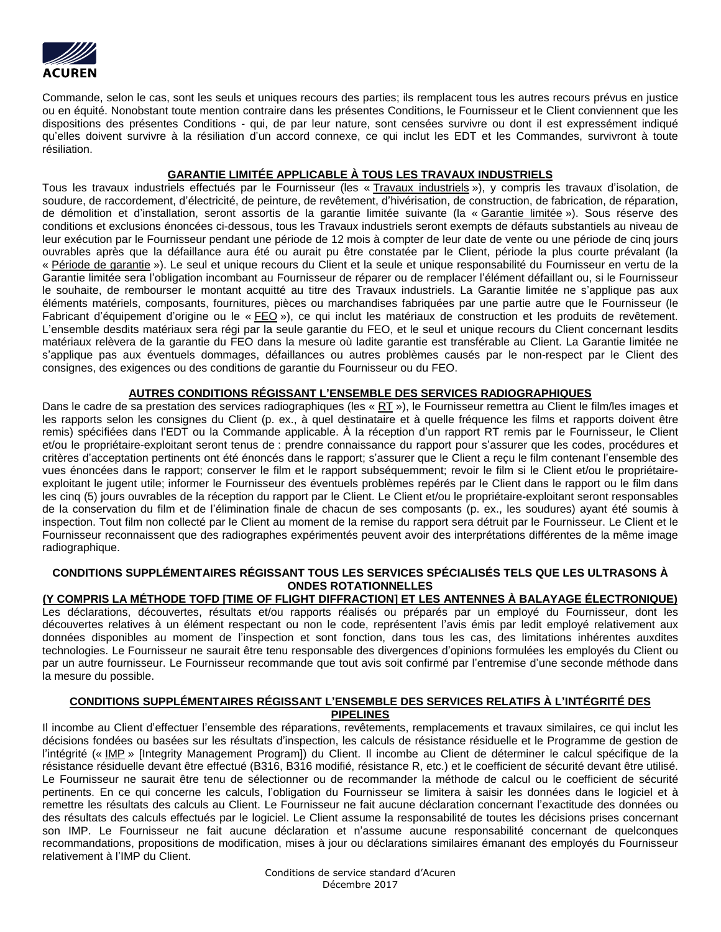

Commande, selon le cas, sont les seuls et uniques recours des parties; ils remplacent tous les autres recours prévus en justice ou en équité. Nonobstant toute mention contraire dans les présentes Conditions, le Fournisseur et le Client conviennent que les dispositions des présentes Conditions - qui, de par leur nature, sont censées survivre ou dont il est expressément indiqué qu'elles doivent survivre à la résiliation d'un accord connexe, ce qui inclut les EDT et les Commandes, survivront à toute résiliation.

# **GARANTIE LIMITÉE APPLICABLE À TOUS LES TRAVAUX INDUSTRIELS**

Tous les travaux industriels effectués par le Fournisseur (les « Travaux industriels »), y compris les travaux d'isolation, de soudure, de raccordement, d'électricité, de peinture, de revêtement, d'hivérisation, de construction, de fabrication, de réparation, de démolition et d'installation, seront assortis de la garantie limitée suivante (la « Garantie limitée »). Sous réserve des conditions et exclusions énoncées ci-dessous, tous les Travaux industriels seront exempts de défauts substantiels au niveau de leur exécution par le Fournisseur pendant une période de 12 mois à compter de leur date de vente ou une période de cinq jours ouvrables après que la défaillance aura été ou aurait pu être constatée par le Client, période la plus courte prévalant (la « Période de garantie »). Le seul et unique recours du Client et la seule et unique responsabilité du Fournisseur en vertu de la Garantie limitée sera l'obligation incombant au Fournisseur de réparer ou de remplacer l'élément défaillant ou, si le Fournisseur le souhaite, de rembourser le montant acquitté au titre des Travaux industriels. La Garantie limitée ne s'applique pas aux éléments matériels, composants, fournitures, pièces ou marchandises fabriquées par une partie autre que le Fournisseur (le Fabricant d'équipement d'origine ou le « FEO »), ce qui inclut les matériaux de construction et les produits de revêtement. L'ensemble desdits matériaux sera régi par la seule garantie du FEO, et le seul et unique recours du Client concernant lesdits matériaux relèvera de la garantie du FEO dans la mesure où ladite garantie est transférable au Client. La Garantie limitée ne s'applique pas aux éventuels dommages, défaillances ou autres problèmes causés par le non-respect par le Client des consignes, des exigences ou des conditions de garantie du Fournisseur ou du FEO.

# **AUTRES CONDITIONS RÉGISSANT L'ENSEMBLE DES SERVICES RADIOGRAPHIQUES**

Dans le cadre de sa prestation des services radiographiques (les « RT »), le Fournisseur remettra au Client le film/les images et les rapports selon les consignes du Client (p. ex., à quel destinataire et à quelle fréquence les films et rapports doivent être remis) spécifiées dans l'EDT ou la Commande applicable. À la réception d'un rapport RT remis par le Fournisseur, le Client et/ou le propriétaire-exploitant seront tenus de : prendre connaissance du rapport pour s'assurer que les codes, procédures et critères d'acceptation pertinents ont été énoncés dans le rapport; s'assurer que le Client a reçu le film contenant l'ensemble des vues énoncées dans le rapport; conserver le film et le rapport subséquemment; revoir le film si le Client et/ou le propriétaireexploitant le jugent utile; informer le Fournisseur des éventuels problèmes repérés par le Client dans le rapport ou le film dans les cinq (5) jours ouvrables de la réception du rapport par le Client. Le Client et/ou le propriétaire-exploitant seront responsables de la conservation du film et de l'élimination finale de chacun de ses composants (p. ex., les soudures) ayant été soumis à inspection. Tout film non collecté par le Client au moment de la remise du rapport sera détruit par le Fournisseur. Le Client et le Fournisseur reconnaissent que des radiographes expérimentés peuvent avoir des interprétations différentes de la même image radiographique.

# **CONDITIONS SUPPLÉMENTAIRES RÉGISSANT TOUS LES SERVICES SPÉCIALISÉS TELS QUE LES ULTRASONS À ONDES ROTATIONNELLES**

**(Y COMPRIS LA MÉTHODE TOFD [TIME OF FLIGHT DIFFRACTION] ET LES ANTENNES À BALAYAGE ÉLECTRONIQUE)** Les déclarations, découvertes, résultats et/ou rapports réalisés ou préparés par un employé du Fournisseur, dont les découvertes relatives à un élément respectant ou non le code, représentent l'avis émis par ledit employé relativement aux données disponibles au moment de l'inspection et sont fonction, dans tous les cas, des limitations inhérentes auxdites technologies. Le Fournisseur ne saurait être tenu responsable des divergences d'opinions formulées les employés du Client ou par un autre fournisseur. Le Fournisseur recommande que tout avis soit confirmé par l'entremise d'une seconde méthode dans la mesure du possible.

# **CONDITIONS SUPPLÉMENTAIRES RÉGISSANT L'ENSEMBLE DES SERVICES RELATIFS À L'INTÉGRITÉ DES PIPELINES**

Il incombe au Client d'effectuer l'ensemble des réparations, revêtements, remplacements et travaux similaires, ce qui inclut les décisions fondées ou basées sur les résultats d'inspection, les calculs de résistance résiduelle et le Programme de gestion de l'intégrité (« IMP » [Integrity Management Program]) du Client. Il incombe au Client de déterminer le calcul spécifique de la résistance résiduelle devant être effectué (B316, B316 modifié, résistance R, etc.) et le coefficient de sécurité devant être utilisé. Le Fournisseur ne saurait être tenu de sélectionner ou de recommander la méthode de calcul ou le coefficient de sécurité pertinents. En ce qui concerne les calculs, l'obligation du Fournisseur se limitera à saisir les données dans le logiciel et à remettre les résultats des calculs au Client. Le Fournisseur ne fait aucune déclaration concernant l'exactitude des données ou des résultats des calculs effectués par le logiciel. Le Client assume la responsabilité de toutes les décisions prises concernant son IMP. Le Fournisseur ne fait aucune déclaration et n'assume aucune responsabilité concernant de quelconques recommandations, propositions de modification, mises à jour ou déclarations similaires émanant des employés du Fournisseur relativement à l'IMP du Client.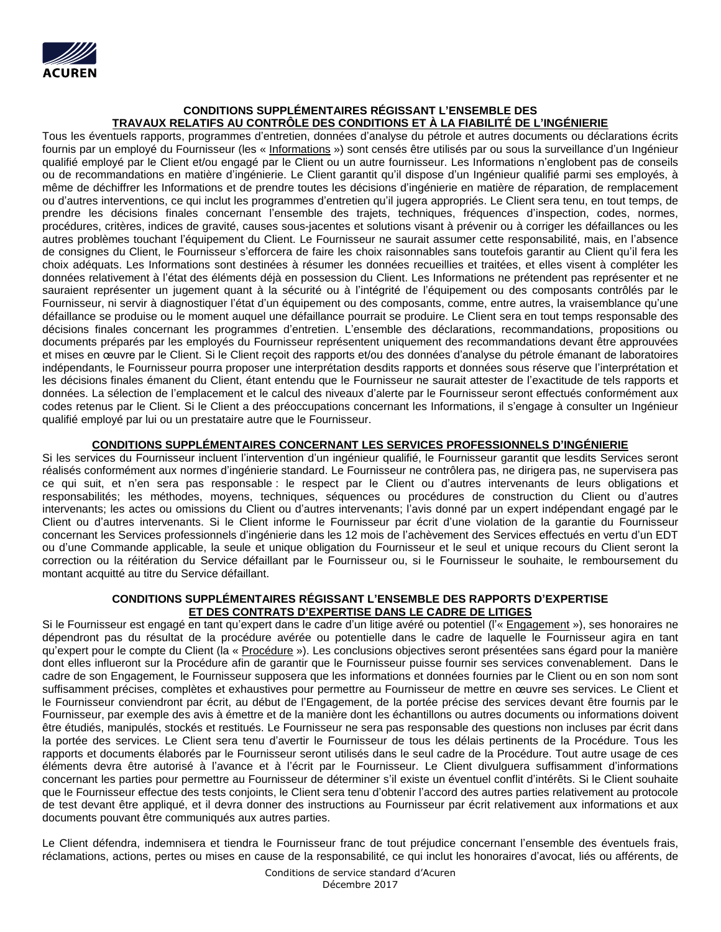

# **CONDITIONS SUPPLÉMENTAIRES RÉGISSANT L'ENSEMBLE DES TRAVAUX RELATIFS AU CONTRÔLE DES CONDITIONS ET À LA FIABILITÉ DE L'INGÉNIERIE**

Tous les éventuels rapports, programmes d'entretien, données d'analyse du pétrole et autres documents ou déclarations écrits fournis par un employé du Fournisseur (les « Informations ») sont censés être utilisés par ou sous la surveillance d'un Ingénieur qualifié employé par le Client et/ou engagé par le Client ou un autre fournisseur. Les Informations n'englobent pas de conseils ou de recommandations en matière d'ingénierie. Le Client garantit qu'il dispose d'un Ingénieur qualifié parmi ses employés, à même de déchiffrer les Informations et de prendre toutes les décisions d'ingénierie en matière de réparation, de remplacement ou d'autres interventions, ce qui inclut les programmes d'entretien qu'il jugera appropriés. Le Client sera tenu, en tout temps, de prendre les décisions finales concernant l'ensemble des trajets, techniques, fréquences d'inspection, codes, normes, procédures, critères, indices de gravité, causes sous-jacentes et solutions visant à prévenir ou à corriger les défaillances ou les autres problèmes touchant l'équipement du Client. Le Fournisseur ne saurait assumer cette responsabilité, mais, en l'absence de consignes du Client, le Fournisseur s'efforcera de faire les choix raisonnables sans toutefois garantir au Client qu'il fera les choix adéquats. Les Informations sont destinées à résumer les données recueillies et traitées, et elles visent à compléter les données relativement à l'état des éléments déjà en possession du Client. Les Informations ne prétendent pas représenter et ne sauraient représenter un jugement quant à la sécurité ou à l'intégrité de l'équipement ou des composants contrôlés par le Fournisseur, ni servir à diagnostiquer l'état d'un équipement ou des composants, comme, entre autres, la vraisemblance qu'une défaillance se produise ou le moment auquel une défaillance pourrait se produire. Le Client sera en tout temps responsable des décisions finales concernant les programmes d'entretien. L'ensemble des déclarations, recommandations, propositions ou documents préparés par les employés du Fournisseur représentent uniquement des recommandations devant être approuvées et mises en œuvre par le Client. Si le Client reçoit des rapports et/ou des données d'analyse du pétrole émanant de laboratoires indépendants, le Fournisseur pourra proposer une interprétation desdits rapports et données sous réserve que l'interprétation et les décisions finales émanent du Client, étant entendu que le Fournisseur ne saurait attester de l'exactitude de tels rapports et données. La sélection de l'emplacement et le calcul des niveaux d'alerte par le Fournisseur seront effectués conformément aux codes retenus par le Client. Si le Client a des préoccupations concernant les Informations, il s'engage à consulter un Ingénieur qualifié employé par lui ou un prestataire autre que le Fournisseur.

# **CONDITIONS SUPPLÉMENTAIRES CONCERNANT LES SERVICES PROFESSIONNELS D'INGÉNIERIE**

Si les services du Fournisseur incluent l'intervention d'un ingénieur qualifié, le Fournisseur garantit que lesdits Services seront réalisés conformément aux normes d'ingénierie standard. Le Fournisseur ne contrôlera pas, ne dirigera pas, ne supervisera pas ce qui suit, et n'en sera pas responsable : le respect par le Client ou d'autres intervenants de leurs obligations et responsabilités; les méthodes, moyens, techniques, séquences ou procédures de construction du Client ou d'autres intervenants; les actes ou omissions du Client ou d'autres intervenants; l'avis donné par un expert indépendant engagé par le Client ou d'autres intervenants. Si le Client informe le Fournisseur par écrit d'une violation de la garantie du Fournisseur concernant les Services professionnels d'ingénierie dans les 12 mois de l'achèvement des Services effectués en vertu d'un EDT ou d'une Commande applicable, la seule et unique obligation du Fournisseur et le seul et unique recours du Client seront la correction ou la réitération du Service défaillant par le Fournisseur ou, si le Fournisseur le souhaite, le remboursement du montant acquitté au titre du Service défaillant.

## **CONDITIONS SUPPLÉMENTAIRES RÉGISSANT L'ENSEMBLE DES RAPPORTS D'EXPERTISE ET DES CONTRATS D'EXPERTISE DANS LE CADRE DE LITIGES**

Si le Fournisseur est engagé en tant qu'expert dans le cadre d'un litige avéré ou potentiel (l'« Engagement »), ses honoraires ne dépendront pas du résultat de la procédure avérée ou potentielle dans le cadre de laquelle le Fournisseur agira en tant qu'expert pour le compte du Client (la « Procédure »). Les conclusions objectives seront présentées sans égard pour la manière dont elles influeront sur la Procédure afin de garantir que le Fournisseur puisse fournir ses services convenablement. Dans le cadre de son Engagement, le Fournisseur supposera que les informations et données fournies par le Client ou en son nom sont suffisamment précises, complètes et exhaustives pour permettre au Fournisseur de mettre en œuvre ses services. Le Client et le Fournisseur conviendront par écrit, au début de l'Engagement, de la portée précise des services devant être fournis par le Fournisseur, par exemple des avis à émettre et de la manière dont les échantillons ou autres documents ou informations doivent être étudiés, manipulés, stockés et restitués. Le Fournisseur ne sera pas responsable des questions non incluses par écrit dans la portée des services. Le Client sera tenu d'avertir le Fournisseur de tous les délais pertinents de la Procédure. Tous les rapports et documents élaborés par le Fournisseur seront utilisés dans le seul cadre de la Procédure. Tout autre usage de ces éléments devra être autorisé à l'avance et à l'écrit par le Fournisseur. Le Client divulguera suffisamment d'informations concernant les parties pour permettre au Fournisseur de déterminer s'il existe un éventuel conflit d'intérêts. Si le Client souhaite que le Fournisseur effectue des tests conjoints, le Client sera tenu d'obtenir l'accord des autres parties relativement au protocole de test devant être appliqué, et il devra donner des instructions au Fournisseur par écrit relativement aux informations et aux documents pouvant être communiqués aux autres parties.

Le Client défendra, indemnisera et tiendra le Fournisseur franc de tout préjudice concernant l'ensemble des éventuels frais, réclamations, actions, pertes ou mises en cause de la responsabilité, ce qui inclut les honoraires d'avocat, liés ou afférents, de